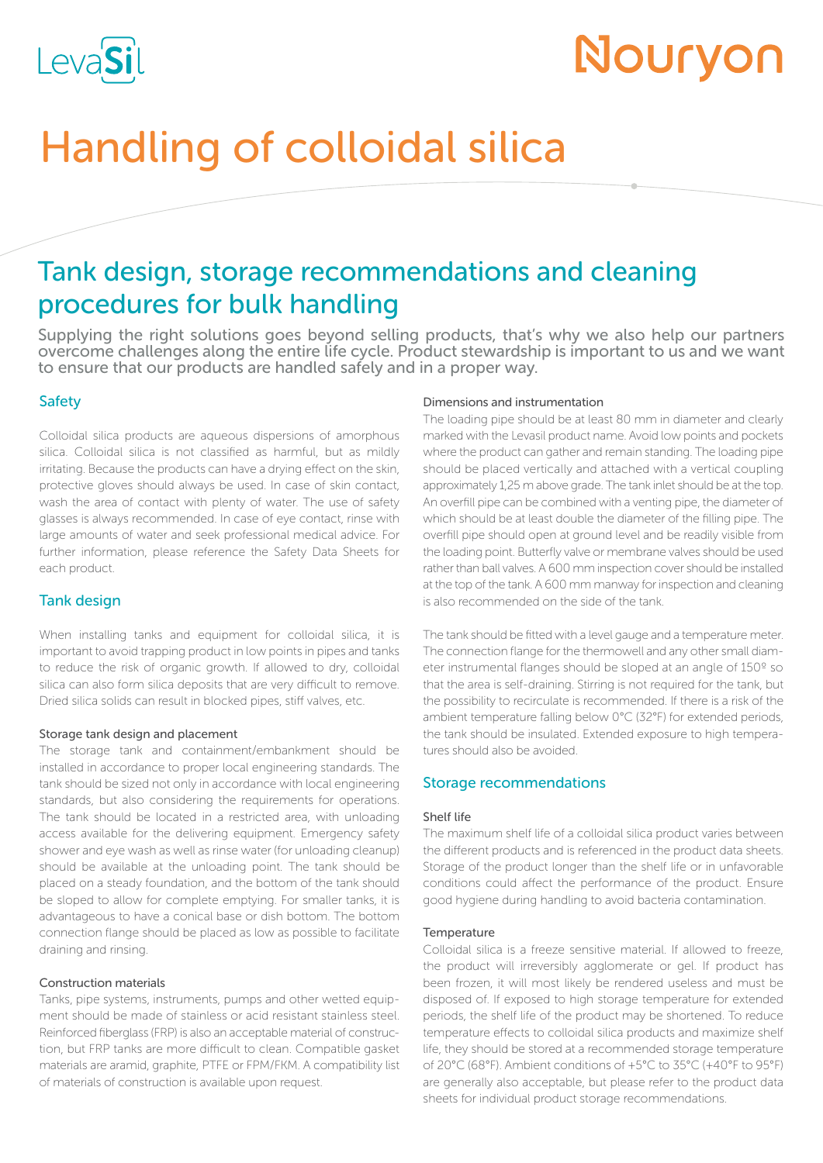

# Nouryon

# Handling of colloidal silica

# Tank design, storage recommendations and cleaning procedures for bulk handling

Supplying the right solutions goes beyond selling products, that's why we also help our partners overcome challenges along the entire life cycle. Product stewardship is important to us and we want to ensure that our products are handled safely and in a proper way.

# Safety

Colloidal silica products are aqueous dispersions of amorphous silica. Colloidal silica is not classified as harmful, but as mildly irritating. Because the products can have a drying effect on the skin, protective gloves should always be used. In case of skin contact, wash the area of contact with plenty of water. The use of safety glasses is always recommended. In case of eye contact, rinse with large amounts of water and seek professional medical advice. For further information, please reference the Safety Data Sheets for each product.

# Tank design

When installing tanks and equipment for colloidal silica, it is important to avoid trapping product in low points in pipes and tanks to reduce the risk of organic growth. If allowed to dry, colloidal silica can also form silica deposits that are very difficult to remove. Dried silica solids can result in blocked pipes, stiff valves, etc.

#### Storage tank design and placement

The storage tank and containment/embankment should be installed in accordance to proper local engineering standards. The tank should be sized not only in accordance with local engineering standards, but also considering the requirements for operations. The tank should be located in a restricted area, with unloading access available for the delivering equipment. Emergency safety shower and eye wash as well as rinse water (for unloading cleanup) should be available at the unloading point. The tank should be placed on a steady foundation, and the bottom of the tank should be sloped to allow for complete emptying. For smaller tanks, it is advantageous to have a conical base or dish bottom. The bottom connection flange should be placed as low as possible to facilitate draining and rinsing.

#### Construction materials

Tanks, pipe systems, instruments, pumps and other wetted equipment should be made of stainless or acid resistant stainless steel. Reinforced fiberglass (FRP) is also an acceptable material of construction, but FRP tanks are more difficult to clean. Compatible gasket materials are aramid, graphite, PTFE or FPM/FKM. A compatibility list of materials of construction is available upon request.

#### Dimensions and instrumentation

The loading pipe should be at least 80 mm in diameter and clearly marked with the Levasil product name. Avoid low points and pockets where the product can gather and remain standing. The loading pipe should be placed vertically and attached with a vertical coupling approximately 1,25 m above grade. The tank inlet should be at the top. An overfill pipe can be combined with a venting pipe, the diameter of which should be at least double the diameter of the filling pipe. The overfill pipe should open at ground level and be readily visible from the loading point. Butterfly valve or membrane valves should be used rather than ball valves. A 600 mm inspection cover should be installed at the top of the tank. A 600 mm manway for inspection and cleaning is also recommended on the side of the tank.

The tank should be fitted with a level gauge and a temperature meter. The connection flange for the thermowell and any other small diameter instrumental flanges should be sloped at an angle of 150º so that the area is self-draining. Stirring is not required for the tank, but the possibility to recirculate is recommended. If there is a risk of the ambient temperature falling below 0°C (32°F) for extended periods, the tank should be insulated. Extended exposure to high temperatures should also be avoided.

#### Storage recommendations

#### Shelf life

The maximum shelf life of a colloidal silica product varies between the different products and is referenced in the product data sheets. Storage of the product longer than the shelf life or in unfavorable conditions could affect the performance of the product. Ensure good hygiene during handling to avoid bacteria contamination.

#### **Temperature**

Colloidal silica is a freeze sensitive material. If allowed to freeze, the product will irreversibly agglomerate or gel. If product has been frozen, it will most likely be rendered useless and must be disposed of. If exposed to high storage temperature for extended periods, the shelf life of the product may be shortened. To reduce temperature effects to colloidal silica products and maximize shelf life, they should be stored at a recommended storage temperature of 20°C (68°F). Ambient conditions of +5°C to 35°C (+40°F to 95°F) are generally also acceptable, but please refer to the product data sheets for individual product storage recommendations.